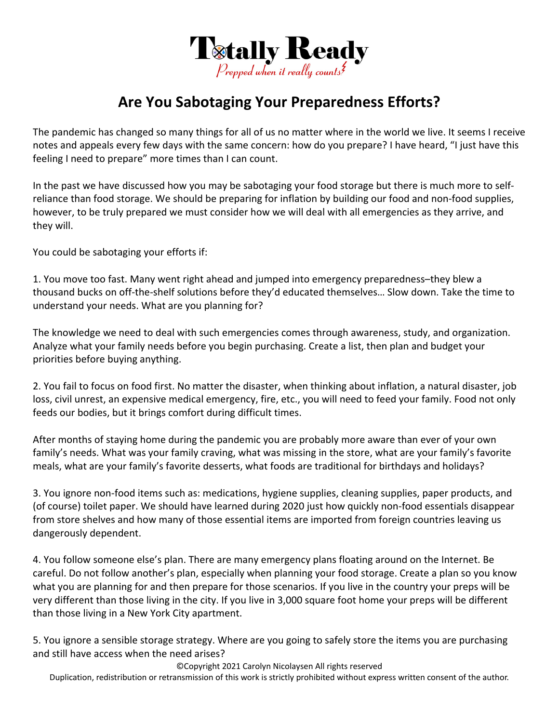

## **Are You Sabotaging Your Preparedness Efforts?**

The pandemic has changed so many things for all of us no matter where in the world we live. It seems I receive notes and appeals every few days with the same concern: how do you prepare? I have heard, "I just have this feeling I need to prepare" more times than I can count.

In the past we have discussed how you may be sabotaging your food storage but there is much more to self‐ reliance than food storage. We should be preparing for inflation by building our food and non‐food supplies, however, to be truly prepared we must consider how we will deal with all emergencies as they arrive, and they will.

You could be sabotaging your efforts if:

1. You move too fast. Many went right ahead and jumped into emergency preparedness–they blew a thousand bucks on off‐the‐shelf solutions before they'd educated themselves… Slow down. Take the time to understand your needs. What are you planning for?

The knowledge we need to deal with such emergencies comes through awareness, study, and organization. Analyze what your family needs before you begin purchasing. Create a list, then plan and budget your priorities before buying anything.

2. You fail to focus on food first. No matter the disaster, when thinking about inflation, a natural disaster, job loss, civil unrest, an expensive medical emergency, fire, etc., you will need to feed your family. Food not only feeds our bodies, but it brings comfort during difficult times.

After months of staying home during the pandemic you are probably more aware than ever of your own family's needs. What was your family craving, what was missing in the store, what are your family's favorite meals, what are your family's favorite desserts, what foods are traditional for birthdays and holidays?

3. You ignore non‐food items such as: medications, hygiene supplies, cleaning supplies, paper products, and (of course) toilet paper. We should have learned during 2020 just how quickly non‐food essentials disappear from store shelves and how many of those essential items are imported from foreign countries leaving us dangerously dependent.

4. You follow someone else's plan. There are many emergency plans floating around on the Internet. Be careful. Do not follow another's plan, especially when planning your food storage. Create a plan so you know what you are planning for and then prepare for those scenarios. If you live in the country your preps will be very different than those living in the city. If you live in 3,000 square foot home your preps will be different than those living in a New York City apartment.

5. You ignore a sensible storage strategy. Where are you going to safely store the items you are purchasing and still have access when the need arises?

©Copyright 2021 Carolyn Nicolaysen All rights reserved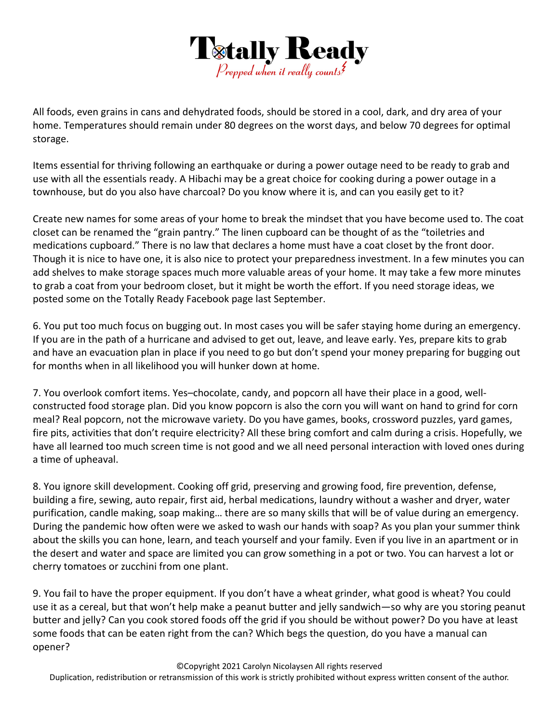

All foods, even grains in cans and dehydrated foods, should be stored in a cool, dark, and dry area of your home. Temperatures should remain under 80 degrees on the worst days, and below 70 degrees for optimal storage.

Items essential for thriving following an earthquake or during a power outage need to be ready to grab and use with all the essentials ready. A Hibachi may be a great choice for cooking during a power outage in a townhouse, but do you also have charcoal? Do you know where it is, and can you easily get to it?

Create new names for some areas of your home to break the mindset that you have become used to. The coat closet can be renamed the "grain pantry." The linen cupboard can be thought of as the "toiletries and medications cupboard." There is no law that declares a home must have a coat closet by the front door. Though it is nice to have one, it is also nice to protect your preparedness investment. In a few minutes you can add shelves to make storage spaces much more valuable areas of your home. It may take a few more minutes to grab a coat from your bedroom closet, but it might be worth the effort. If you need storage ideas, we posted some on the Totally Ready Facebook page last September.

6. You put too much focus on bugging out. In most cases you will be safer staying home during an emergency. If you are in the path of a hurricane and advised to get out, leave, and leave early. Yes, prepare kits to grab and have an evacuation plan in place if you need to go but don't spend your money preparing for bugging out for months when in all likelihood you will hunker down at home.

7. You overlook comfort items. Yes–chocolate, candy, and popcorn all have their place in a good, well‐ constructed food storage plan. Did you know popcorn is also the corn you will want on hand to grind for corn meal? Real popcorn, not the microwave variety. Do you have games, books, crossword puzzles, yard games, fire pits, activities that don't require electricity? All these bring comfort and calm during a crisis. Hopefully, we have all learned too much screen time is not good and we all need personal interaction with loved ones during a time of upheaval.

8. You ignore skill development. Cooking off grid, preserving and growing food, fire prevention, defense, building a fire, sewing, auto repair, first aid, herbal medications, laundry without a washer and dryer, water purification, candle making, soap making… there are so many skills that will be of value during an emergency. During the pandemic how often were we asked to wash our hands with soap? As you plan your summer think about the skills you can hone, learn, and teach yourself and your family. Even if you live in an apartment or in the desert and water and space are limited you can grow something in a pot or two. You can harvest a lot or cherry tomatoes or zucchini from one plant.

9. You fail to have the proper equipment. If you don't have a wheat grinder, what good is wheat? You could use it as a cereal, but that won't help make a peanut butter and jelly sandwich—so why are you storing peanut butter and jelly? Can you cook stored foods off the grid if you should be without power? Do you have at least some foods that can be eaten right from the can? Which begs the question, do you have a manual can opener?

©Copyright 2021 Carolyn Nicolaysen All rights reserved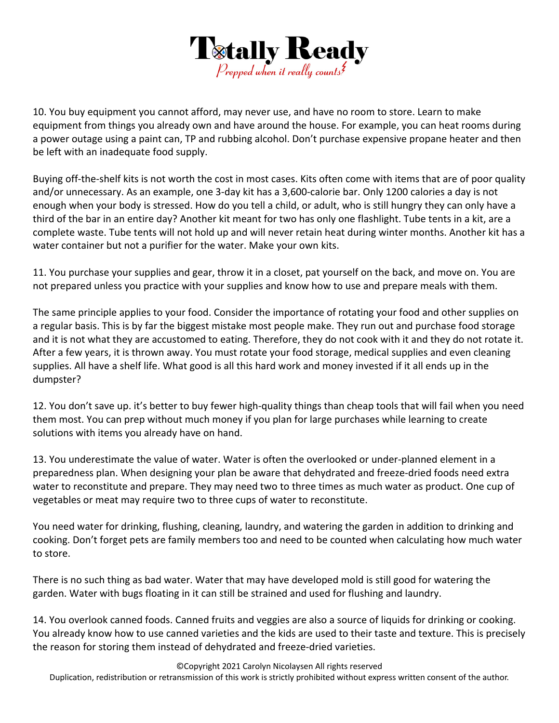

10. You buy equipment you cannot afford, may never use, and have no room to store. Learn to make equipment from things you already own and have around the house. For example, you can heat rooms during a power outage using a paint can, TP and rubbing alcohol. Don't purchase expensive propane heater and then be left with an inadequate food supply.

Buying off-the-shelf kits is not worth the cost in most cases. Kits often come with items that are of poor quality and/or unnecessary. As an example, one 3‐day kit has a 3,600‐calorie bar. Only 1200 calories a day is not enough when your body is stressed. How do you tell a child, or adult, who is still hungry they can only have a third of the bar in an entire day? Another kit meant for two has only one flashlight. Tube tents in a kit, are a complete waste. Tube tents will not hold up and will never retain heat during winter months. Another kit has a water container but not a purifier for the water. Make your own kits.

11. You purchase your supplies and gear, throw it in a closet, pat yourself on the back, and move on. You are not prepared unless you practice with your supplies and know how to use and prepare meals with them.

The same principle applies to your food. Consider the importance of rotating your food and other supplies on a regular basis. This is by far the biggest mistake most people make. They run out and purchase food storage and it is not what they are accustomed to eating. Therefore, they do not cook with it and they do not rotate it. After a few years, it is thrown away. You must rotate your food storage, medical supplies and even cleaning supplies. All have a shelf life. What good is all this hard work and money invested if it all ends up in the dumpster?

12. You don't save up. it's better to buy fewer high-quality things than cheap tools that will fail when you need them most. You can prep without much money if you plan for large purchases while learning to create solutions with items you already have on hand.

13. You underestimate the value of water. Water is often the overlooked or under‐planned element in a preparedness plan. When designing your plan be aware that dehydrated and freeze‐dried foods need extra water to reconstitute and prepare. They may need two to three times as much water as product. One cup of vegetables or meat may require two to three cups of water to reconstitute.

You need water for drinking, flushing, cleaning, laundry, and watering the garden in addition to drinking and cooking. Don't forget pets are family members too and need to be counted when calculating how much water to store.

There is no such thing as bad water. Water that may have developed mold is still good for watering the garden. Water with bugs floating in it can still be strained and used for flushing and laundry.

14. You overlook canned foods. Canned fruits and veggies are also a source of liquids for drinking or cooking. You already know how to use canned varieties and the kids are used to their taste and texture. This is precisely the reason for storing them instead of dehydrated and freeze‐dried varieties.

©Copyright 2021 Carolyn Nicolaysen All rights reserved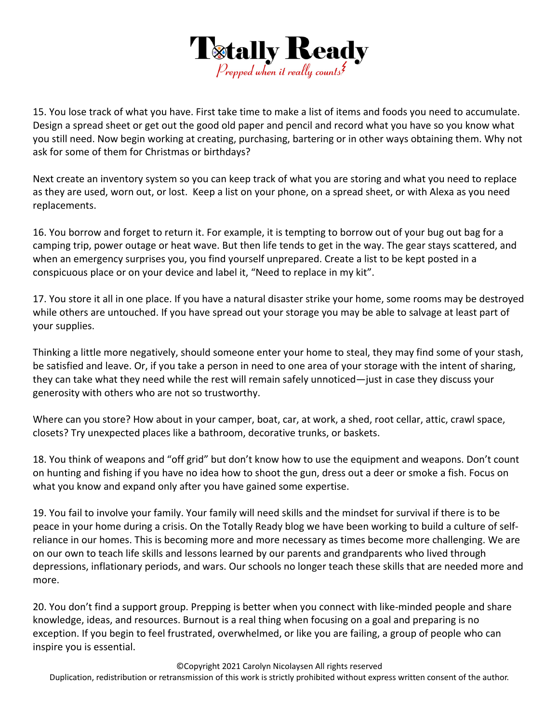

15. You lose track of what you have. First take time to make a list of items and foods you need to accumulate. Design a spread sheet or get out the good old paper and pencil and record what you have so you know what you still need. Now begin working at creating, purchasing, bartering or in other ways obtaining them. Why not ask for some of them for Christmas or birthdays?

Next create an inventory system so you can keep track of what you are storing and what you need to replace as they are used, worn out, or lost. Keep a list on your phone, on a spread sheet, or with Alexa as you need replacements.

16. You borrow and forget to return it. For example, it is tempting to borrow out of your bug out bag for a camping trip, power outage or heat wave. But then life tends to get in the way. The gear stays scattered, and when an emergency surprises you, you find yourself unprepared. Create a list to be kept posted in a conspicuous place or on your device and label it, "Need to replace in my kit".

17. You store it all in one place. If you have a natural disaster strike your home, some rooms may be destroyed while others are untouched. If you have spread out your storage you may be able to salvage at least part of your supplies.

Thinking a little more negatively, should someone enter your home to steal, they may find some of your stash, be satisfied and leave. Or, if you take a person in need to one area of your storage with the intent of sharing, they can take what they need while the rest will remain safely unnoticed—just in case they discuss your generosity with others who are not so trustworthy.

Where can you store? How about in your camper, boat, car, at work, a shed, root cellar, attic, crawl space, closets? Try unexpected places like a bathroom, decorative trunks, or baskets.

18. You think of weapons and "off grid" but don't know how to use the equipment and weapons. Don't count on hunting and fishing if you have no idea how to shoot the gun, dress out a deer or smoke a fish. Focus on what you know and expand only after you have gained some expertise.

19. You fail to involve your family. Your family will need skills and the mindset for survival if there is to be peace in your home during a crisis. On the Totally Ready blog we have been working to build a culture of self‐ reliance in our homes. This is becoming more and more necessary as times become more challenging. We are on our own to teach life skills and lessons learned by our parents and grandparents who lived through depressions, inflationary periods, and wars. Our schools no longer teach these skills that are needed more and more.

20. You don't find a support group. Prepping is better when you connect with like-minded people and share knowledge, ideas, and resources. Burnout is a real thing when focusing on a goal and preparing is no exception. If you begin to feel frustrated, overwhelmed, or like you are failing, a group of people who can inspire you is essential.

©Copyright 2021 Carolyn Nicolaysen All rights reserved